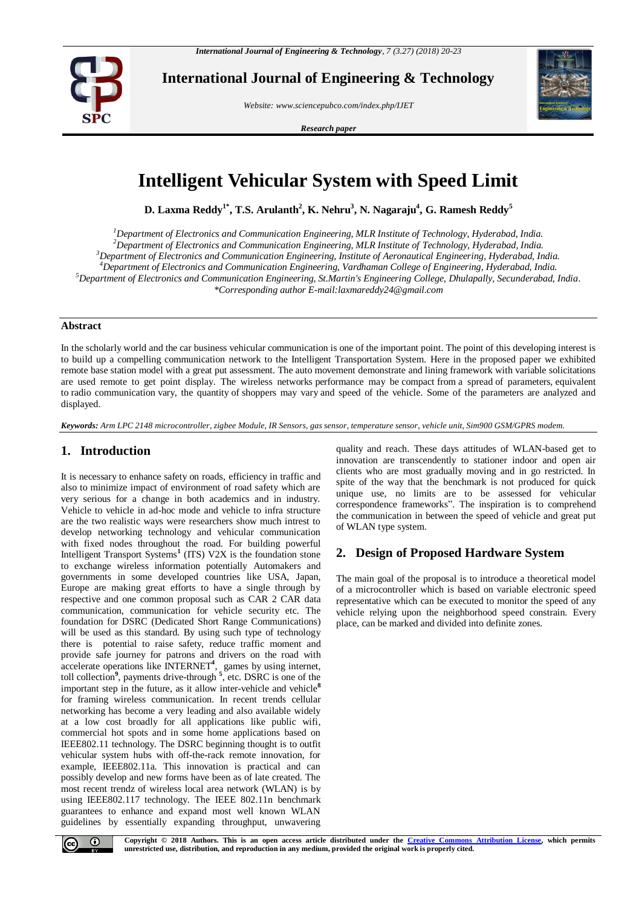

**International Journal of Engineering & Technology**

*Website: www.sciencepubco.com/index.php/IJET*

*Research paper*



# **Intelligent Vehicular System with Speed Limit**

**D. Laxma Reddy1\* , T.S. Arulanth<sup>2</sup> , K. Nehru<sup>3</sup> , N. Nagaraju<sup>4</sup> , G. Ramesh Reddy<sup>5</sup>**

*Department of Electronics and Communication Engineering, MLR Institute of Technology, Hyderabad, India. Department of Electronics and Communication Engineering, MLR Institute of Technology, Hyderabad, India. Department of Electronics and Communication Engineering, Institute of Aeronautical Engineering, Hyderabad, India. Department of Electronics and Communication Engineering, Vardhaman College of Engineering, Hyderabad, India. Department of Electronics and Communication Engineering, St.Martin's Engineering College, Dhulapally, Secunderabad, India. \*Corresponding author E-mail[:laxmareddy24@gmail.com](mailto:laxmareddy24@gmail.com)*

## **Abstract**

In the scholarly world and the car business vehicular communication is one of the important point. The point of this developing interest is to build up a compelling communication network to the Intelligent Transportation System. Here in the proposed paper we exhibited remote base station model with a great put assessment. The auto movement demonstrate and lining framework with variable solicitations are used remote to get point display. The wireless networks performance may be compact from a spread of parameters, equivalent to radio communication vary, the quantity of shoppers may vary and speed of the vehicle. Some of the parameters are analyzed and displayed.

*Keywords: Arm LPC 2148 microcontroller, zigbee Module, IR Sensors, gas sensor, temperature sensor, vehicle unit, Sim900 GSM/GPRS modem.*

# **1. Introduction**

It is necessary to enhance safety on roads, efficiency in traffic and also to minimize impact of environment of road safety which are very serious for a change in both academics and in industry. Vehicle to vehicle in ad-hoc mode and vehicle to infra structure are the two realistic ways were researchers show much intrest to develop networking technology and vehicular communication with fixed nodes throughout the road. For building powerful Intelligent Transport Systems**<sup>1</sup>** (ITS) V2X is the foundation stone to exchange wireless information potentially Automakers and governments in some developed countries like USA, Japan, Europe are making great efforts to have a single through by respective and one common proposal such as CAR 2 CAR data communication, communication for vehicle security etc. The foundation for DSRC (Dedicated Short Range Communications) will be used as this standard. By using such type of technology there is potential to raise safety, reduce traffic moment and provide safe journey for patrons and drivers on the road with accelerate operations like INTERNET**<sup>4</sup>** , games by using internet, toll collection**<sup>9</sup>** , payments drive-through **<sup>5</sup>** , etc. DSRC is one of the important step in the future, as it allow inter-vehicle and vehicle**<sup>8</sup>** for framing wireless communication. In recent trends cellular networking has become a very leading and also available widely at a low cost broadly for all applications like public wifi, commercial hot spots and in some home applications based on IEEE802.11 technology. The DSRC beginning thought is to outfit vehicular system hubs with off-the-rack remote innovation, for example, IEEE802.11a. This innovation is practical and can possibly develop and new forms have been as of late created. The most recent trendz of wireless local area network (WLAN) is by using IEEE802.117 technology. The IEEE 802.11n benchmark guarantees to enhance and expand most well known WLAN guidelines by essentially expanding throughput, unwavering

quality and reach. These days attitudes of WLAN-based get to innovation are transcendently to stationer indoor and open air clients who are most gradually moving and in go restricted. In spite of the way that the benchmark is not produced for quick unique use, no limits are to be assessed for vehicular correspondence frameworks". The inspiration is to comprehend the communication in between the speed of vehicle and great put of WLAN type system.

# **2. Design of Proposed Hardware System**

The main goal of the proposal is to introduce a theoretical model of a microcontroller which is based on variable electronic speed representative which can be executed to monitor the speed of any vehicle relying upon the neighborhood speed constrain. Every place, can be marked and divided into definite zones.

 $\odot$ 

**Copyright © 2018 Authors. This is an open access article distributed under the [Creative Commons Attribution License,](http://creativecommons.org/licenses/by/3.0/) which permits unrestricted use, distribution, and reproduction in any medium, provided the original work is properly cited.**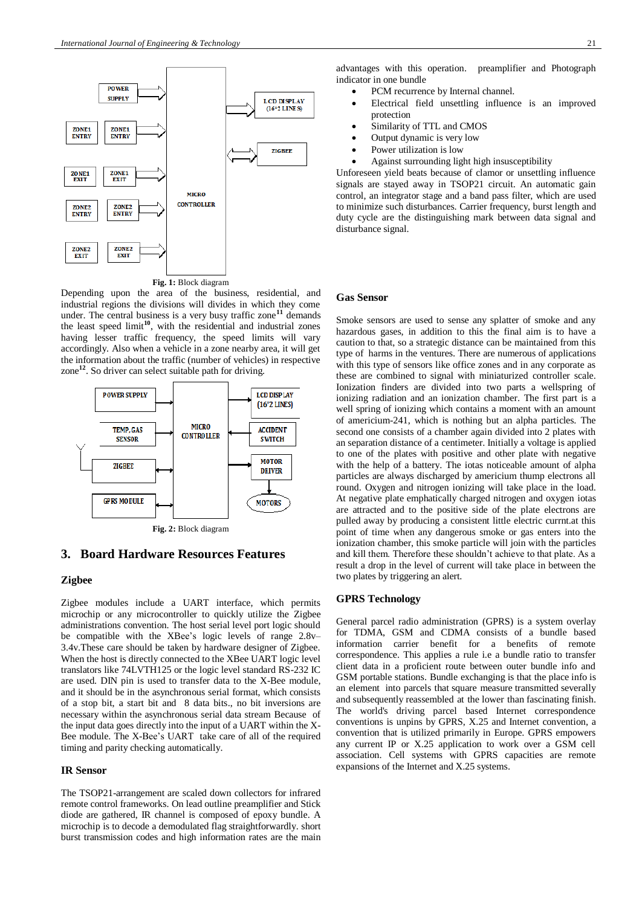

Depending upon the area of the business, residential, and industrial regions the divisions will divides in which they come under. The central business is a very busy traffic zone**<sup>11</sup>** demands the least speed limit**<sup>10</sup>**, with the residential and industrial zones having lesser traffic frequency, the speed limits will vary accordingly. Also when a vehicle in a zone nearby area, it will get the information about the traffic (number of vehicles) in respective zone**<sup>12</sup>**. So driver can select suitable path for driving.



# **3. Board Hardware Resources Features**

#### **Zigbee**

Zigbee modules include a UART interface, which permits microchip or any microcontroller to quickly utilize the Zigbee administrations convention. The host serial level port logic should be compatible with the XBee's logic levels of range 2.8v– 3.4v.These care should be taken by hardware designer of Zigbee. When the host is directly connected to the XBee UART logic level translators like 74LVTH125 or the logic level standard RS-232 IC are used. DIN pin is used to transfer data to the X-Bee module, and it should be in the asynchronous serial format, which consists of a stop bit, a start bit and 8 data bits., no bit inversions are necessary within the asynchronous serial data stream Because of the input data goes directly into the input of a UART within the X-Bee module. The X-Bee's UART take care of all of the required timing and parity checking automatically.

### **IR Sensor**

The TSOP21-arrangement are scaled down collectors for infrared remote control frameworks. On lead outline preamplifier and Stick diode are gathered, IR channel is composed of epoxy bundle. A microchip is to decode a demodulated flag straightforwardly. short burst transmission codes and high information rates are the main advantages with this operation. preamplifier and Photograph indicator in one bundle

- PCM recurrence by Internal channel.
- Electrical field unsettling influence is an improved protection
- Similarity of TTL and CMOS
- Output dynamic is very low
- Power utilization is low
- Against surrounding light high insusceptibility

Unforeseen yield beats because of clamor or unsettling influence signals are stayed away in TSOP21 circuit. An automatic gain control, an integrator stage and a band pass filter, which are used to minimize such disturbances. Carrier frequency, burst length and duty cycle are the distinguishing mark between data signal and disturbance signal.

#### **Gas Sensor**

Smoke sensors are used to sense any splatter of smoke and any hazardous gases, in addition to this the final aim is to have a caution to that, so a strategic distance can be maintained from this type of harms in the ventures. There are numerous of applications with this type of sensors like office zones and in any corporate as these are combined to signal with miniaturized controller scale. Ionization finders are divided into two parts a wellspring of ionizing radiation and an ionization chamber. The first part is a well spring of ionizing which contains a moment with an amount of americium-241, which is nothing but an alpha particles. The second one consists of a chamber again divided into 2 plates with an separation distance of a centimeter. Initially a voltage is applied to one of the plates with positive and other plate with negative with the help of a battery. The iotas noticeable amount of alpha particles are always discharged by americium thump electrons all round. Oxygen and nitrogen ionizing will take place in the load. At negative plate emphatically charged nitrogen and oxygen iotas are attracted and to the positive side of the plate electrons are pulled away by producing a consistent little electric currnt.at this point of time when any dangerous smoke or gas enters into the ionization chamber, this smoke particle will join with the particles and kill them. Therefore these shouldn't achieve to that plate. As a result a drop in the level of current will take place in between the two plates by triggering an alert.

#### **GPRS Technology**

General parcel radio administration (GPRS) is a system overlay for TDMA, GSM and CDMA consists of a bundle based information carrier benefit for a benefits of remote correspondence. This applies a rule i.e a bundle ratio to transfer client data in a proficient route between outer bundle info and GSM portable stations. Bundle exchanging is that the place info is an element into parcels that square measure transmitted severally and subsequently reassembled at the lower than fascinating finish. The world's driving parcel based Internet correspondence conventions is unpins by GPRS, X.25 and Internet convention, a convention that is utilized primarily in Europe. GPRS empowers any current IP or X.25 application to work over a GSM cell association. Cell systems with GPRS capacities are remote expansions of the Internet and X.25 systems.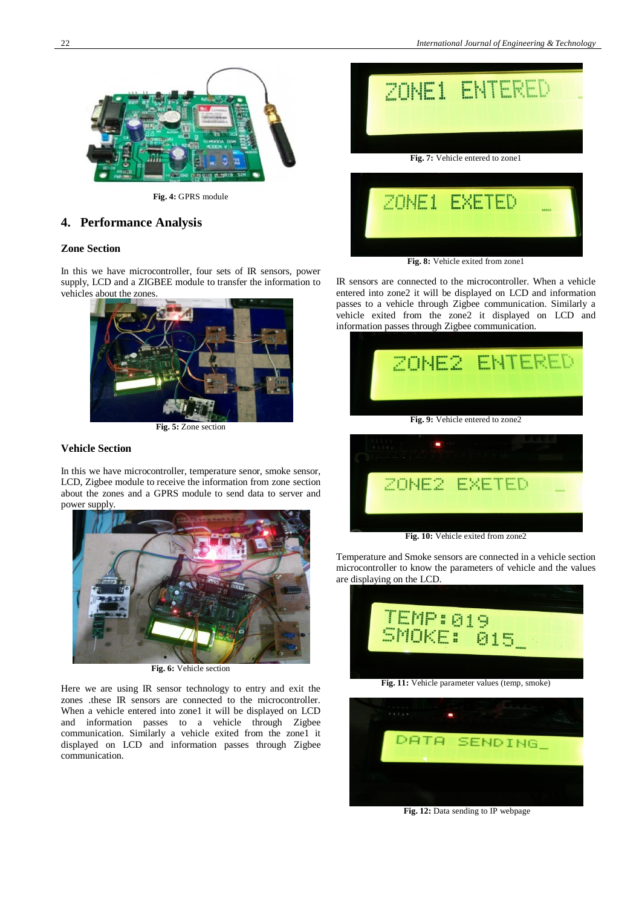

**Fig. 4:** GPRS module

## **4. Performance Analysis**

## **Zone Section**

In this we have microcontroller, four sets of IR sensors, power supply, LCD and a ZIGBEE module to transfer the information to vehicles about the zones.



**Fig. 5:** Zone section

## **Vehicle Section**

In this we have microcontroller, temperature senor, smoke sensor, LCD, Zigbee module to receive the information from zone section about the zones and a GPRS module to send data to server and power supply.



**Fig. 6:** Vehicle section

Here we are using IR sensor technology to entry and exit the zones .these IR sensors are connected to the microcontroller. When a vehicle entered into zone1 it will be displayed on LCD and information passes to a vehicle through Zigbee communication. Similarly a vehicle exited from the zone1 it displayed on LCD and information passes through Zigbee communication.



**Fig. 8:** Vehicle exited from zone1

IR sensors are connected to the microcontroller. When a vehicle entered into zone2 it will be displayed on LCD and information passes to a vehicle through Zigbee communication. Similarly a vehicle exited from the zone2 it displayed on LCD and information passes through Zigbee communication.



|  | -----        |
|--|--------------|
|  |              |
|  | ZONE2 EXETED |

**Fig. 10:** Vehicle exited from zone2

Temperature and Smoke sensors are connected in a vehicle section microcontroller to know the parameters of vehicle and the values are displaying on the LCD.





**Fig. 12:** Data sending to IP webpage